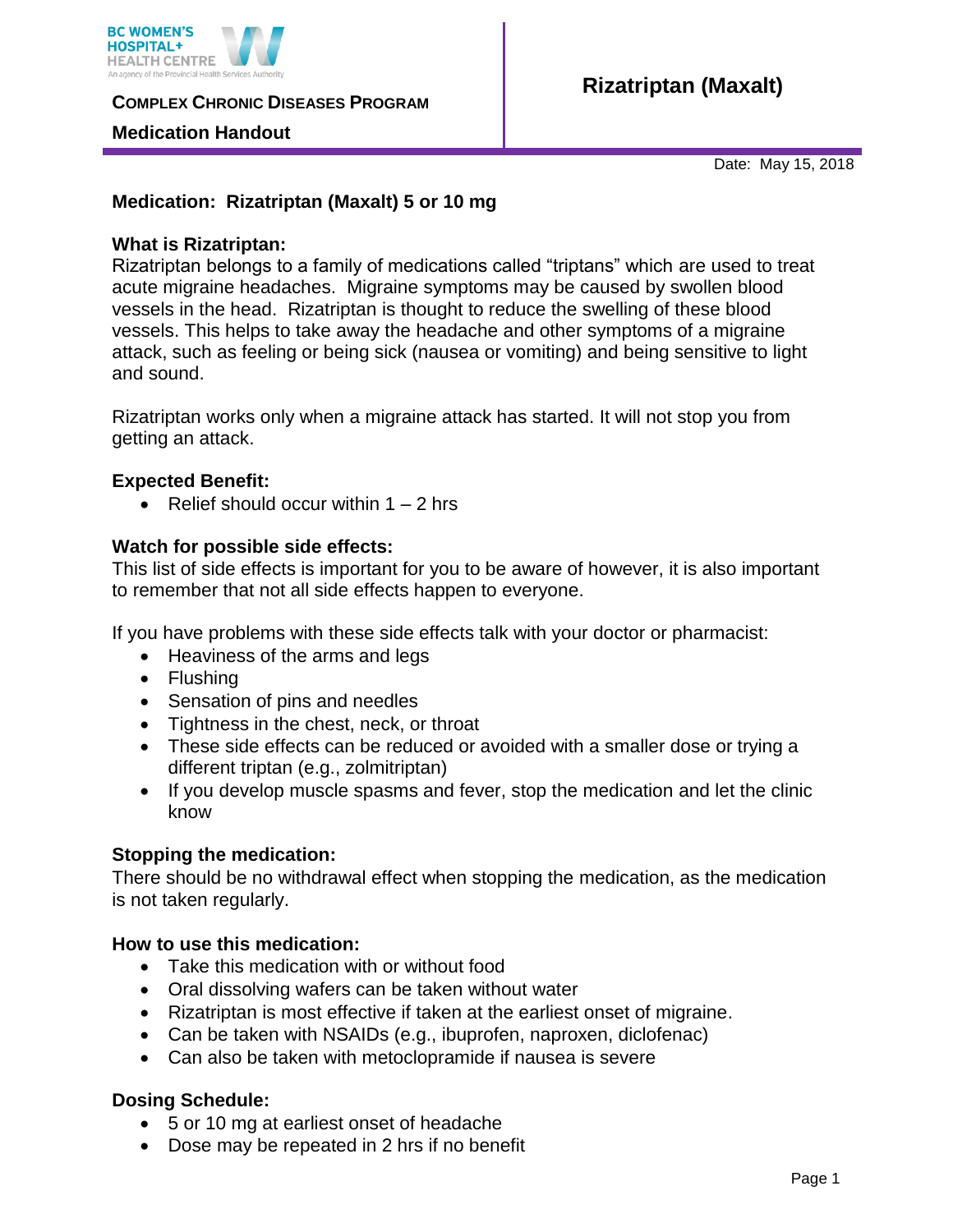

**COMPLEX CHRONIC DISEASES PROGRAM** 

### **Medication Handout**

Date: May 15, 2018

# **Medication: Rizatriptan (Maxalt) 5 or 10 mg**

### **What is Rizatriptan:**

Rizatriptan belongs to a family of medications called "triptans" which are used to treat acute migraine headaches. Migraine symptoms may be caused by swollen blood vessels in the head. Rizatriptan is thought to reduce the swelling of these blood vessels. This helps to take away the headache and other symptoms of a migraine attack, such as feeling or being sick (nausea or vomiting) and being sensitive to light and sound.

Rizatriptan works only when a migraine attack has started. It will not stop you from getting an attack.

## **Expected Benefit:**

• Relief should occur within  $1 - 2$  hrs

### **Watch for possible side effects:**

This list of side effects is important for you to be aware of however, it is also important to remember that not all side effects happen to everyone.

If you have problems with these side effects talk with your doctor or pharmacist:

- Heaviness of the arms and legs
- Flushing
- Sensation of pins and needles
- Tightness in the chest, neck, or throat
- These side effects can be reduced or avoided with a smaller dose or trying a different triptan (e.g., zolmitriptan)
- If you develop muscle spasms and fever, stop the medication and let the clinic know

#### **Stopping the medication:**

There should be no withdrawal effect when stopping the medication, as the medication is not taken regularly.

#### **How to use this medication:**

- Take this medication with or without food
- Oral dissolving wafers can be taken without water
- Rizatriptan is most effective if taken at the earliest onset of migraine.
- Can be taken with NSAIDs (e.g., ibuprofen, naproxen, diclofenac)
- Can also be taken with metoclopramide if nausea is severe

## **Dosing Schedule:**

- 5 or 10 mg at earliest onset of headache
- Dose may be repeated in 2 hrs if no benefit